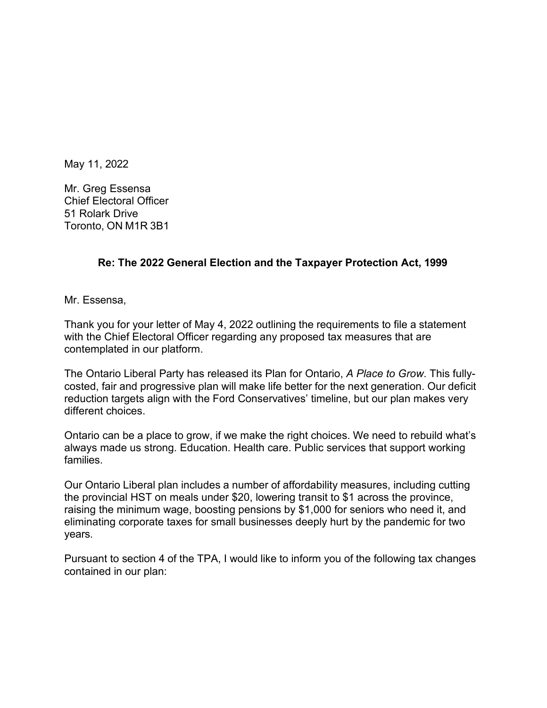May 11, 2022

Mr. Greg Essensa Chief Electoral Officer 51 Rolark Drive Toronto, ON M1R 3B1

## **Re: The 2022 General Election and the Taxpayer Protection Act, 1999**

Mr. Essensa,

Thank you for your letter of May 4, 2022 outlining the requirements to file a statement with the Chief Electoral Officer regarding any proposed tax measures that are contemplated in our platform.

The Ontario Liberal Party has released its Plan for Ontario, *A Place to Grow*. This fullycosted, fair and progressive plan will make life better for the next generation. Our deficit reduction targets align with the Ford Conservatives' timeline, but our plan makes very different choices.

Ontario can be a place to grow, if we make the right choices. We need to rebuild what's always made us strong. Education. Health care. Public services that support working families.

Our Ontario Liberal plan includes a number of affordability measures, including cutting the provincial HST on meals under \$20, lowering transit to \$1 across the province, raising the minimum wage, boosting pensions by \$1,000 for seniors who need it, and eliminating corporate taxes for small businesses deeply hurt by the pandemic for two years.

Pursuant to section 4 of the TPA, I would like to inform you of the following tax changes contained in our plan: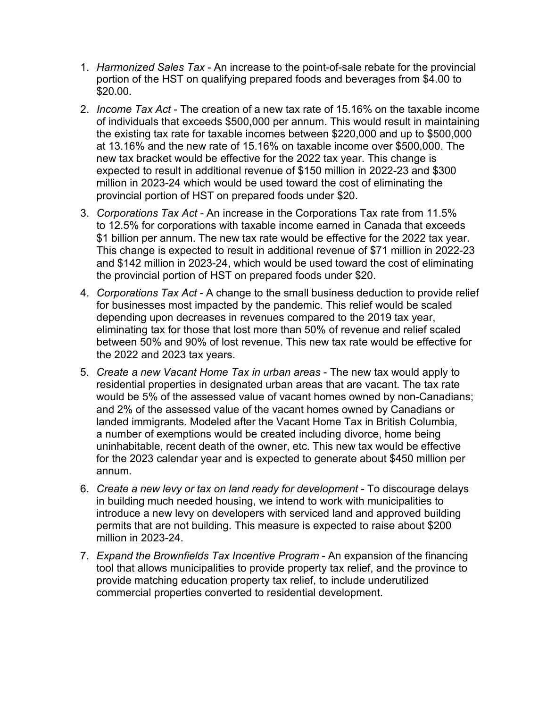- 1. *Harmonized Sales Tax* An increase to the point-of-sale rebate for the provincial portion of the HST on qualifying prepared foods and beverages from \$4.00 to \$20.00.
- 2. *Income Tax Act*  The creation of a new tax rate of 15.16% on the taxable income of individuals that exceeds \$500,000 per annum. This would result in maintaining the existing tax rate for taxable incomes between \$220,000 and up to \$500,000 at 13.16% and the new rate of 15.16% on taxable income over \$500,000. The new tax bracket would be effective for the 2022 tax year. This change is expected to result in additional revenue of \$150 million in 2022-23 and \$300 million in 2023-24 which would be used toward the cost of eliminating the provincial portion of HST on prepared foods under \$20.
- 3. *Corporations Tax Act*  An increase in the Corporations Tax rate from 11.5% to 12.5% for corporations with taxable income earned in Canada that exceeds \$1 billion per annum. The new tax rate would be effective for the 2022 tax year. This change is expected to result in additional revenue of \$71 million in 2022-23 and \$142 million in 2023-24, which would be used toward the cost of eliminating the provincial portion of HST on prepared foods under \$20.
- 4. *Corporations Tax Act* A change to the small business deduction to provide relief for businesses most impacted by the pandemic. This relief would be scaled depending upon decreases in revenues compared to the 2019 tax year, eliminating tax for those that lost more than 50% of revenue and relief scaled between 50% and 90% of lost revenue. This new tax rate would be effective for the 2022 and 2023 tax years.
- 5. *Create a new Vacant Home Tax in urban areas*  The new tax would apply to residential properties in designated urban areas that are vacant. The tax rate would be 5% of the assessed value of vacant homes owned by non-Canadians; and 2% of the assessed value of the vacant homes owned by Canadians or landed immigrants. Modeled after the Vacant Home Tax in British Columbia, a number of exemptions would be created including divorce, home being uninhabitable, recent death of the owner, etc. This new tax would be effective for the 2023 calendar year and is expected to generate about \$450 million per annum.
- 6. *Create a new levy or tax on land ready for development* To discourage delays in building much needed housing, we intend to work with municipalities to introduce a new levy on developers with serviced land and approved building permits that are not building. This measure is expected to raise about \$200 million in 2023-24.
- 7. *Expand the Brownfields Tax Incentive Program* An expansion of the financing tool that allows municipalities to provide property tax relief, and the province to provide matching education property tax relief, to include underutilized commercial properties converted to residential development.